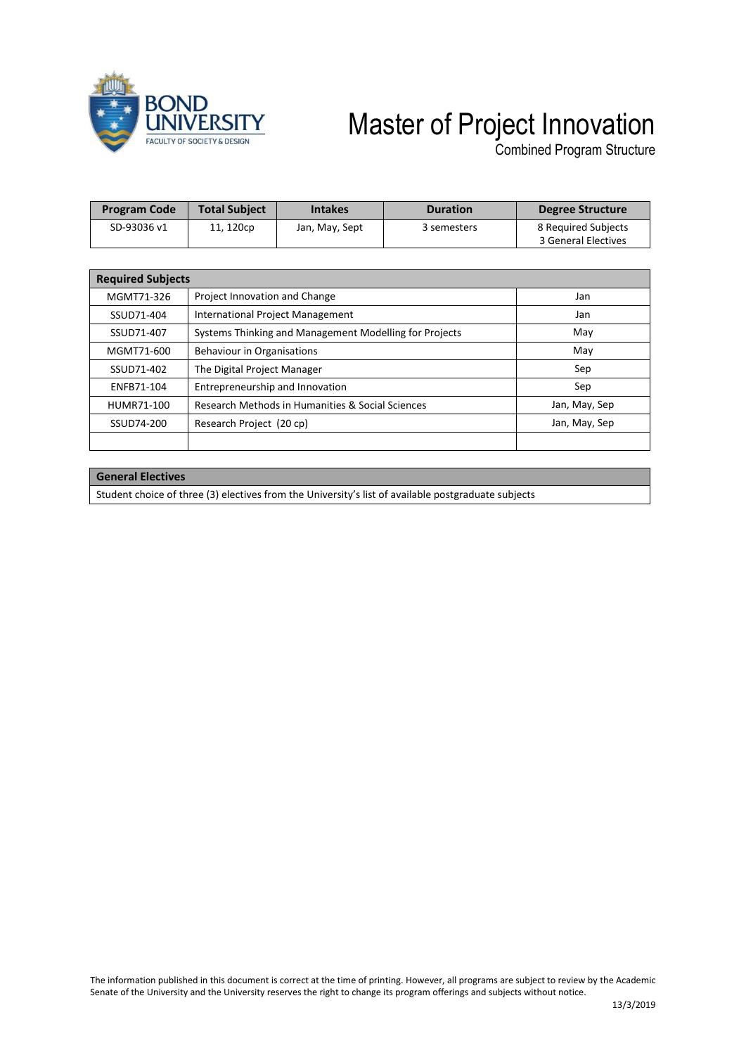

## Master of Project Innovation

Combined Program Structure

| <b>Program Code</b> | <b>Total Subject</b> | <b>Intakes</b> | <b>Duration</b> | Degree Structure                           |  |
|---------------------|----------------------|----------------|-----------------|--------------------------------------------|--|
| SD-93036 v1         | 11, 120cp            | Jan, May, Sept | 3 semesters     | 8 Required Subjects<br>3 General Electives |  |

| <b>Required Subjects</b> |                                                        |               |  |  |  |
|--------------------------|--------------------------------------------------------|---------------|--|--|--|
| MGMT71-326               | Project Innovation and Change                          | Jan           |  |  |  |
| SSUD71-404               | International Project Management                       | Jan           |  |  |  |
| SSUD71-407               | Systems Thinking and Management Modelling for Projects | May           |  |  |  |
| MGMT71-600               | Behaviour in Organisations                             | May           |  |  |  |
| SSUD71-402               | The Digital Project Manager                            | Sep           |  |  |  |
| ENFB71-104               | Entrepreneurship and Innovation                        | Sep           |  |  |  |
| HUMR71-100               | Research Methods in Humanities & Social Sciences       | Jan, May, Sep |  |  |  |
| SSUD74-200               | Research Project (20 cp)                               | Jan, May, Sep |  |  |  |
|                          |                                                        |               |  |  |  |

## **General Electives**

Student choice of three (3) electives from the University's list of available postgraduate subjects